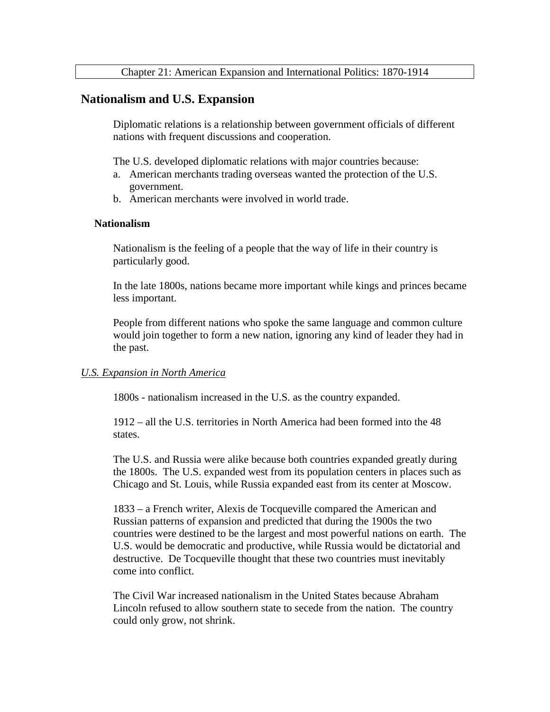## **Nationalism and U.S. Expansion**

Diplomatic relations is a relationship between government officials of different nations with frequent discussions and cooperation.

The U.S. developed diplomatic relations with major countries because:

- a. American merchants trading overseas wanted the protection of the U.S. government.
- b. American merchants were involved in world trade.

#### **Nationalism**

Nationalism is the feeling of a people that the way of life in their country is particularly good.

In the late 1800s, nations became more important while kings and princes became less important.

People from different nations who spoke the same language and common culture would join together to form a new nation, ignoring any kind of leader they had in the past.

#### *U.S. Expansion in North America*

1800s - nationalism increased in the U.S. as the country expanded.

 $1912 -$  all the U.S. territories in North America had been formed into the 48 states.

The U.S. and Russia were alike because both countries expanded greatly during the 1800s. The U.S. expanded west from its population centers in places such as Chicago and St. Louis, while Russia expanded east from its center at Moscow.

1833 – a French writer, Alexis de Tocqueville compared the American and Russian patterns of expansion and predicted that during the 1900s the two countries were destined to be the largest and most powerful nations on earth. The U.S. would be democratic and productive, while Russia would be dictatorial and destructive. De Tocqueville thought that these two countries must inevitably come into conflict.

The Civil War increased nationalism in the United States because Abraham Lincoln refused to allow southern state to secede from the nation. The country could only grow, not shrink.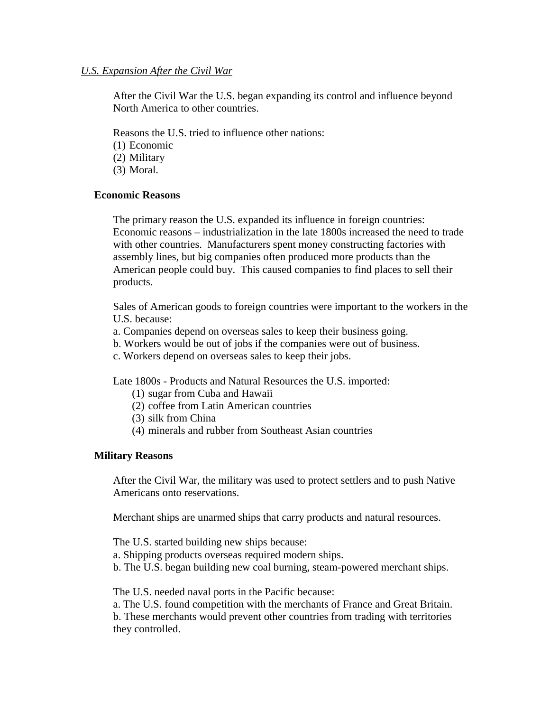## *U.S. Expansion After the Civil War*

After the Civil War the U.S. began expanding its control and influence beyond North America to other countries.

Reasons the U.S. tried to influence other nations:

(1) Economic

(2) Military

(3) Moral.

## **Economic Reasons**

The primary reason the U.S. expanded its influence in foreign countries: Economic reasons – industrialization in the late 1800s increased the need to trade with other countries. Manufacturers spent money constructing factories with assembly lines, but big companies often produced more products than the American people could buy. This caused companies to find places to sell their products.

Sales of American goods to foreign countries were important to the workers in the U.S. because:

- a. Companies depend on overseas sales to keep their business going.
- b. Workers would be out of jobs if the companies were out of business.
- c. Workers depend on overseas sales to keep their jobs.

Late 1800s - Products and Natural Resources the U.S. imported:

- (1) sugar from Cuba and Hawaii
- (2) coffee from Latin American countries
- (3) silk from China
- (4) minerals and rubber from Southeast Asian countries

## **Military Reasons**

After the Civil War, the military was used to protect settlers and to push Native Americans onto reservations.

Merchant ships are unarmed ships that carry products and natural resources.

The U.S. started building new ships because:

a. Shipping products overseas required modern ships.

b. The U.S. began building new coal burning, steam-powered merchant ships.

The U.S. needed naval ports in the Pacific because:

a. The U.S. found competition with the merchants of France and Great Britain. b. These merchants would prevent other countries from trading with territories they controlled.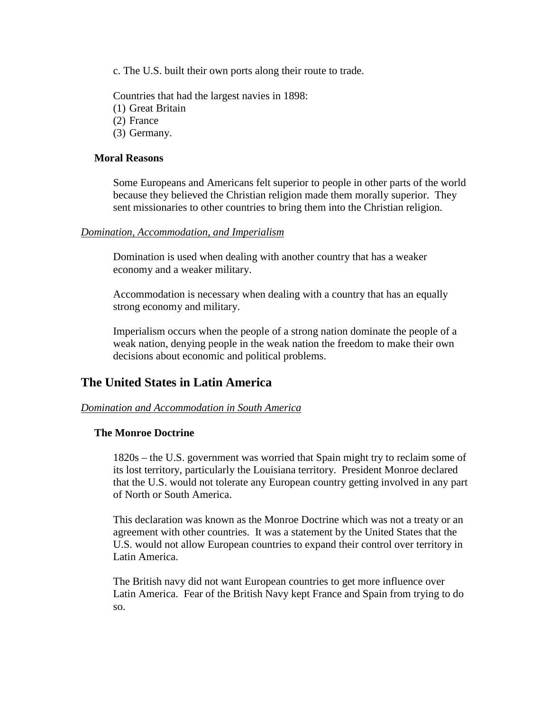c. The U.S. built their own ports along their route to trade.

Countries that had the largest navies in 1898:

(1) Great Britain

(2) France

(3) Germany.

### **Moral Reasons**

Some Europeans and Americans felt superior to people in other parts of the world because they believed the Christian religion made them morally superior. They sent missionaries to other countries to bring them into the Christian religion.

### *Domination, Accommodation, and Imperialism*

Domination is used when dealing with another country that has a weaker economy and a weaker military.

Accommodation is necessary when dealing with a country that has an equally strong economy and military.

Imperialism occurs when the people of a strong nation dominate the people of a weak nation, denying people in the weak nation the freedom to make their own decisions about economic and political problems.

# **The United States in Latin America**

## *Domination and Accommodation in South America*

### **The Monroe Doctrine**

1820s – the U.S. government was worried that Spain might try to reclaim some of its lost territory, particularly the Louisiana territory. President Monroe declared that the U.S. would not tolerate any European country getting involved in any part of North or South America.

This declaration was known as the Monroe Doctrine which was not a treaty or an agreement with other countries. It was a statement by the United States that the U.S. would not allow European countries to expand their control over territory in Latin America.

The British navy did not want European countries to get more influence over Latin America. Fear of the British Navy kept France and Spain from trying to do so.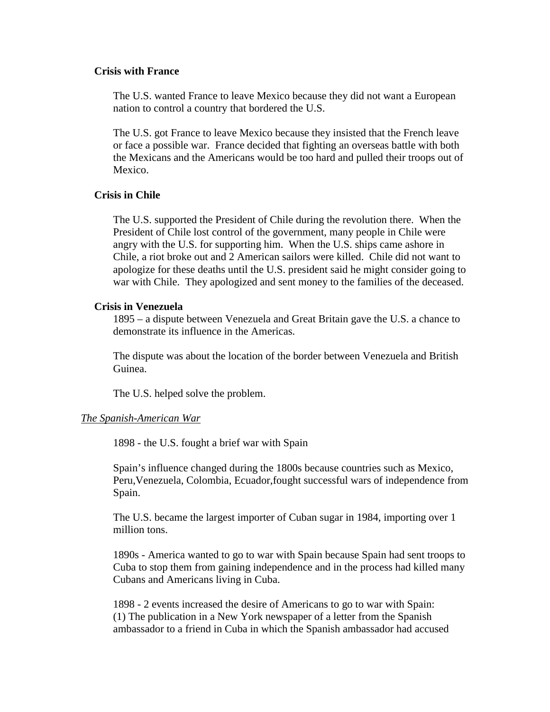### **Crisis with France**

The U.S. wanted France to leave Mexico because they did not want a European nation to control a country that bordered the U.S.

The U.S. got France to leave Mexico because they insisted that the French leave or face a possible war. France decided that fighting an overseas battle with both the Mexicans and the Americans would be too hard and pulled their troops out of Mexico.

#### **Crisis in Chile**

The U.S. supported the President of Chile during the revolution there. When the President of Chile lost control of the government, many people in Chile were angry with the U.S. for supporting him. When the U.S. ships came ashore in Chile, a riot broke out and 2 American sailors were killed. Chile did not want to apologize for these deaths until the U.S. president said he might consider going to war with Chile. They apologized and sent money to the families of the deceased.

#### **Crisis in Venezuela**

1895 – a dispute between Venezuela and Great Britain gave the U.S. a chance to demonstrate its influence in the Americas.

The dispute was about the location of the border between Venezuela and British Guinea.

The U.S. helped solve the problem.

#### *The Spanish-American War*

1898 - the U.S. fought a brief war with Spain

Spain's influence changed during the 1800s because countries such as Mexico, Peru,Venezuela, Colombia, Ecuador,fought successful wars of independence from Spain.

The U.S. became the largest importer of Cuban sugar in 1984, importing over 1 million tons.

1890s - America wanted to go to war with Spain because Spain had sent troops to Cuba to stop them from gaining independence and in the process had killed many Cubans and Americans living in Cuba.

1898 - 2 events increased the desire of Americans to go to war with Spain: (1) The publication in a New York newspaper of a letter from the Spanish ambassador to a friend in Cuba in which the Spanish ambassador had accused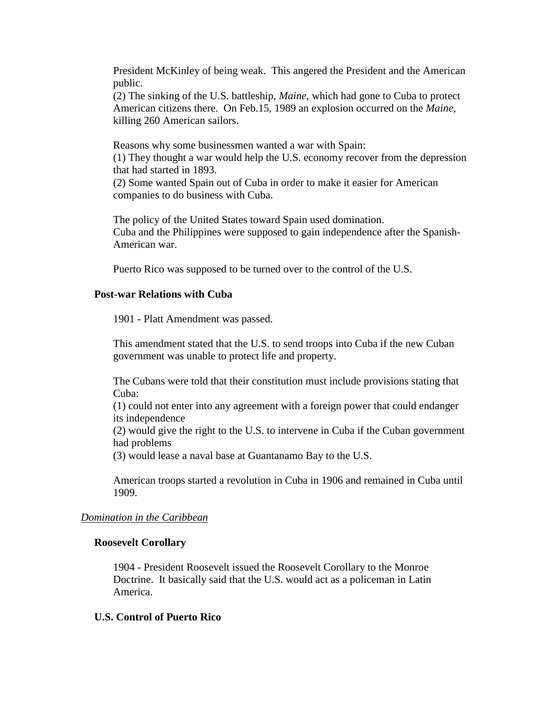President McKinley of being weak. This angered the President and the American public.

(2) The sinking of the U.S. battleship, *Maine*, which had gone to Cuba to protect American citizens there. On Feb.15, 1989 an explosion occurred on the *Maine*, killing 260 American sailors.

Reasons why some businessmen wanted a war with Spain: (1) They thought a war would help the U.S. economy recover from the depression that had started in 1893.

(2) Some wanted Spain out of Cuba in order to make it easier for American companies to do business with Cuba.

The policy of the United States toward Spain used domination. Cuba and the Philippines were supposed to gain independence after the Spanish-American war.

Puerto Rico was supposed to be turned over to the control of the U.S.

## **Post-war Relations with Cuba**

1901 - Platt Amendment was passed.

This amendment stated that the U.S. to send troops into Cuba if the new Cuban government was unable to protect life and property.

The Cubans were told that their constitution must include provisions stating that Cuba:

(1) could not enter into any agreement with a foreign power that could endanger its independence

(2) would give the right to the U.S. to intervene in Cuba if the Cuban government had problems

(3) would lease a naval base at Guantanamo Bay to the U.S.

American troops started a revolution in Cuba in 1906 and remained in Cuba until 1909.

## *Domination in the Caribbean*

## **Roosevelt Corollary**

1904 - President Roosevelt issued the Roosevelt Corollary to the Monroe Doctrine. It basically said that the U.S. would act as a policeman in Latin America.

## **U.S. Control of Puerto Rico**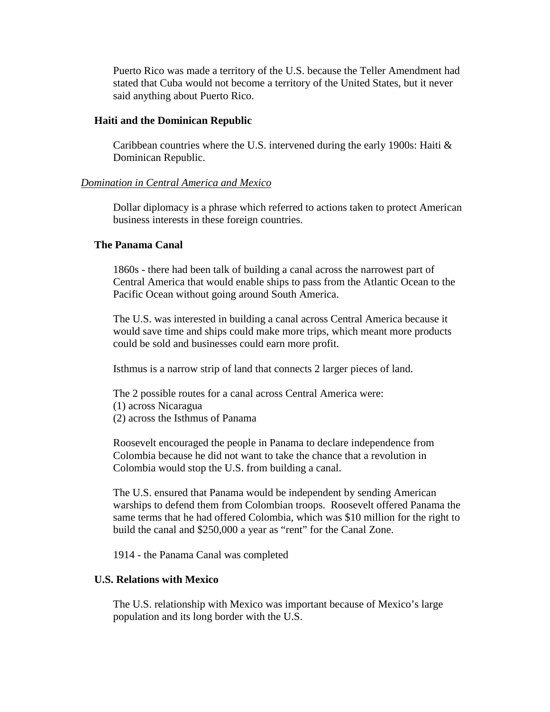Puerto Rico was made a territory of the U.S. because the Teller Amendment had stated that Cuba would not become a territory of the United States, but it never said anything about Puerto Rico.

### **Haiti and the Dominican Republic**

Caribbean countries where the U.S. intervened during the early 1900s: Haiti  $\&$ Dominican Republic.

## *Domination in Central America and Mexico*

Dollar diplomacy is a phrase which referred to actions taken to protect American business interests in these foreign countries.

### **The Panama Canal**

1860s - there had been talk of building a canal across the narrowest part of Central America that would enable ships to pass from the Atlantic Ocean to the Pacific Ocean without going around South America.

The U.S. was interested in building a canal across Central America because it would save time and ships could make more trips, which meant more products could be sold and businesses could earn more profit.

Isthmus is a narrow strip of land that connects 2 larger pieces of land.

The 2 possible routes for a canal across Central America were: (1) across Nicaragua (2) across the Isthmus of Panama

Roosevelt encouraged the people in Panama to declare independence from Colombia because he did not want to take the chance that a revolution in Colombia would stop the U.S. from building a canal.

The U.S. ensured that Panama would be independent by sending American warships to defend them from Colombian troops. Roosevelt offered Panama the same terms that he had offered Colombia, which was \$10 million for the right to build the canal and \$250,000 a year as "rent" for the Canal Zone.

1914 - the Panama Canal was completed

## **U.S. Relations with Mexico**

The U.S. relationship with Mexico was important because of Mexico's large population and its long border with the U.S.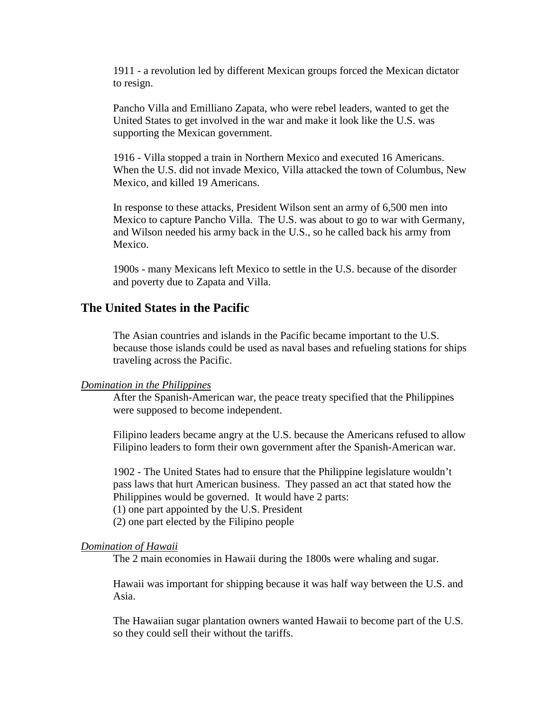1911 - a revolution led by different Mexican groups forced the Mexican dictator to resign.

Pancho Villa and Emilliano Zapata, who were rebel leaders, wanted to get the United States to get involved in the war and make it look like the U.S. was supporting the Mexican government.

1916 - Villa stopped a train in Northern Mexico and executed 16 Americans. When the U.S. did not invade Mexico, Villa attacked the town of Columbus, New Mexico, and killed 19 Americans.

In response to these attacks, President Wilson sent an army of 6,500 men into Mexico to capture Pancho Villa. The U.S. was about to go to war with Germany, and Wilson needed his army back in the U.S., so he called back his army from Mexico.

1900s - many Mexicans left Mexico to settle in the U.S. because of the disorder and poverty due to Zapata and Villa.

# **The United States in the Pacific**

The Asian countries and islands in the Pacific became important to the U.S. because those islands could be used as naval bases and refueling stations for ships traveling across the Pacific.

### *Domination in the Philippines*

After the Spanish-American war, the peace treaty specified that the Philippines were supposed to become independent.

Filipino leaders became angry at the U.S. because the Americans refused to allow Filipino leaders to form their own government after the Spanish-American war.

1902 - The United States had to ensure that the Philippine legislature wouldn't pass laws that hurt American business. They passed an act that stated how the Philippines would be governed. It would have 2 parts:

(1) one part appointed by the U.S. President

(2) one part elected by the Filipino people

#### *Domination of Hawaii*

The 2 main economies in Hawaii during the 1800s were whaling and sugar.

Hawaii was important for shipping because it was half way between the U.S. and Asia.

The Hawaiian sugar plantation owners wanted Hawaii to become part of the U.S. so they could sell their without the tariffs.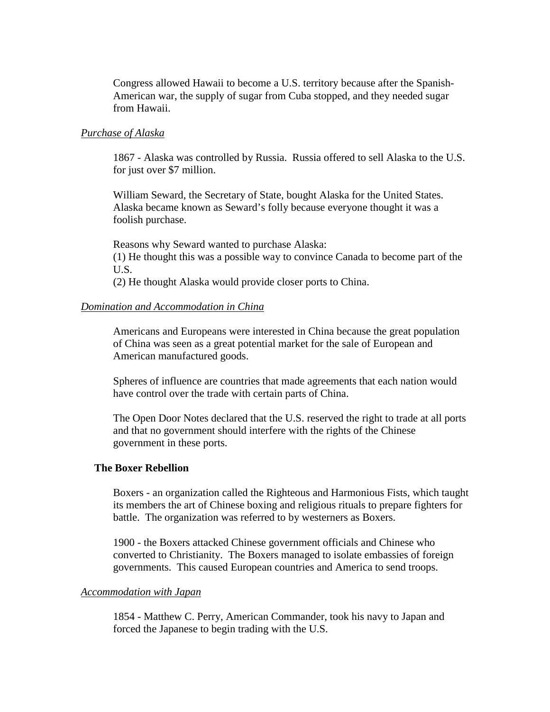Congress allowed Hawaii to become a U.S. territory because after the Spanish-American war, the supply of sugar from Cuba stopped, and they needed sugar from Hawaii.

### *Purchase of Alaska*

1867 - Alaska was controlled by Russia. Russia offered to sell Alaska to the U.S. for just over \$7 million.

William Seward, the Secretary of State, bought Alaska for the United States. Alaska became known as Seward's folly because everyone thought it was a foolish purchase.

Reasons why Seward wanted to purchase Alaska: (1) He thought this was a possible way to convince Canada to become part of the U.S.

(2) He thought Alaska would provide closer ports to China.

### *Domination and Accommodation in China*

Americans and Europeans were interested in China because the great population of China was seen as a great potential market for the sale of European and American manufactured goods.

Spheres of influence are countries that made agreements that each nation would have control over the trade with certain parts of China.

The Open Door Notes declared that the U.S. reserved the right to trade at all ports and that no government should interfere with the rights of the Chinese government in these ports.

### **The Boxer Rebellion**

Boxers - an organization called the Righteous and Harmonious Fists, which taught its members the art of Chinese boxing and religious rituals to prepare fighters for battle. The organization was referred to by westerners as Boxers.

1900 - the Boxers attacked Chinese government officials and Chinese who converted to Christianity. The Boxers managed to isolate embassies of foreign governments. This caused European countries and America to send troops.

### *Accommodation with Japan*

1854 - Matthew C. Perry, American Commander, took his navy to Japan and forced the Japanese to begin trading with the U.S.